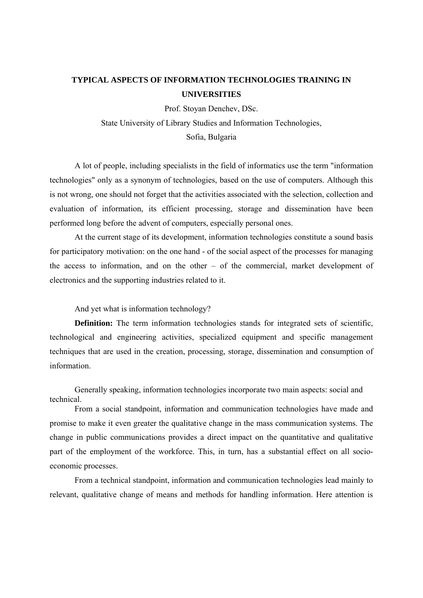## **TYPICAL ASPECTS OF INFORMATION TECHNOLOGIES TRAINING IN UNIVERSITIES**

Prof. Stoyan Denchev, DSc.

State University of Library Studies and Information Technologies,

Sofia, Bulgaria

A lot of people, including specialists in the field of informatics use the term "information technologies" only as a synonym of technologies, based on the use of computers. Although this is not wrong, one should not forget that the activities associated with the selection, collection and evaluation of information, its efficient processing, storage and dissemination have been performed long before the advent of computers, especially personal ones.

At the current stage of its development, information technologies constitute a sound basis for participatory motivation: on the one hand - of the social aspect of the processes for managing the access to information, and on the other – of the commercial, market development of electronics and the supporting industries related to it.

And yet what is information technology?

**Definition:** The term information technologies stands for integrated sets of scientific, technological and engineering activities, specialized equipment and specific management techniques that are used in the creation, processing, storage, dissemination and consumption of information.

Generally speaking, information technologies incorporate two main aspects: social and technical.

From a social standpoint, information and communication technologies have made and promise to make it even greater the qualitative change in the mass communication systems. The change in public communications provides a direct impact on the quantitative and qualitative part of the employment of the workforce. This, in turn, has a substantial effect on all socioeconomic processes.

From a technical standpoint, information and communication technologies lead mainly to relevant, qualitative change of means and methods for handling information. Here attention is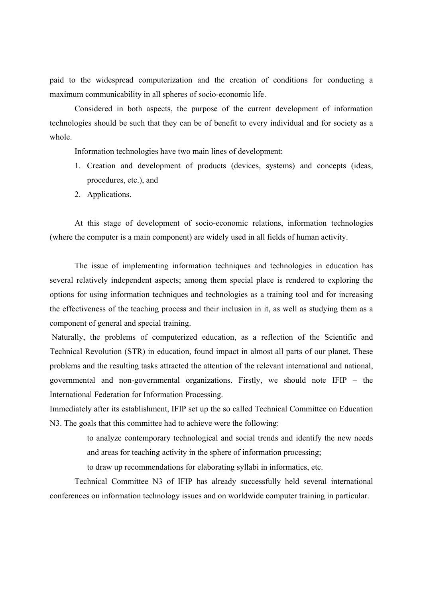paid to the widespread computerization and the creation of conditions for conducting a maximum communicability in all spheres of socio-economic life.

Considered in both aspects, the purpose of the current development of information technologies should be such that they can be of benefit to every individual and for society as a whole.

Information technologies have two main lines of development:

- 1. Creation and development of products (devices, systems) and concepts (ideas, procedures, etc.), and
- 2. Applications.

At this stage of development of socio-economic relations, information technologies (where the computer is a main component) are widely used in all fields of human activity.

The issue of implementing information techniques and technologies in education has several relatively independent aspects; among them special place is rendered to exploring the options for using information techniques and technologies as a training tool and for increasing the effectiveness of the teaching process and their inclusion in it, as well as studying them as a component of general and special training.

 Naturally, the problems of computerized education, as a reflection of the Scientific and Technical Revolution (STR) in education, found impact in almost all parts of our planet. These problems and the resulting tasks attracted the attention of the relevant international and national, governmental and non-governmental organizations. Firstly, we should note IFIP – the International Federation for Information Processing.

Immediately after its establishment, IFIP set up the so called Technical Committee on Education N3. The goals that this committee had to achieve were the following:

> to analyze contemporary technological and social trends and identify the new needs and areas for teaching activity in the sphere of information processing;

to draw up recommendations for elaborating syllabi in informatics, etc.

Technical Committee N3 of IFIP has already successfully held several international conferences on information technology issues and on worldwide computer training in particular.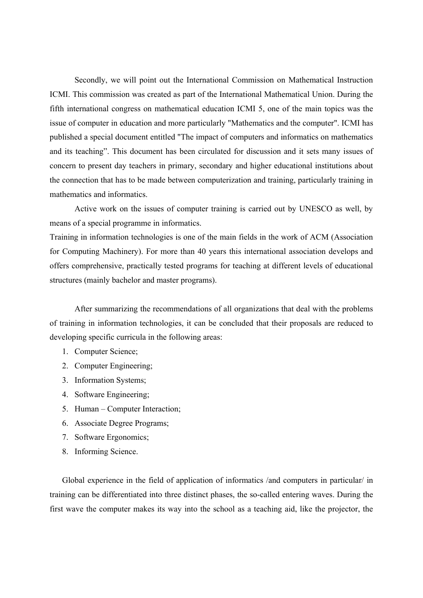Secondly, we will point out the International Commission on Mathematical Instruction ICMI. This commission was created as part of the International Mathematical Union. During the fifth international congress on mathematical education ICMI 5, one of the main topics was the issue of computer in education and more particularly "Mathematics and the computer". ICMI has published a special document entitled "The impact of computers and informatics on mathematics and its teaching". This document has been circulated for discussion and it sets many issues of concern to present day teachers in primary, secondary and higher educational institutions about the connection that has to be made between computerization and training, particularly training in mathematics and informatics.

Active work on the issues of computer training is carried out by UNESCO as well, by means of a special programme in informatics.

Training in information technologies is one of the main fields in the work of ACM (Association for Computing Machinery). For more than 40 years this international association develops and offers comprehensive, practically tested programs for teaching at different levels of educational structures (mainly bachelor and master programs).

After summarizing the recommendations of all organizations that deal with the problems of training in information technologies, it can be concluded that their proposals are reduced to developing specific curricula in the following areas:

- 1. Computer Science;
- 2. Computer Engineering;
- 3. Information Systems;
- 4. Software Engineering;
- 5. Human Computer Interaction;
- 6. Associate Degree Programs;
- 7. Software Ergonomics;
- 8. Informing Science.

Global experience in the field of application of informatics /and computers in particular/ in training can be differentiated into three distinct phases, the so-called entering waves. During the first wave the computer makes its way into the school as a teaching aid, like the projector, the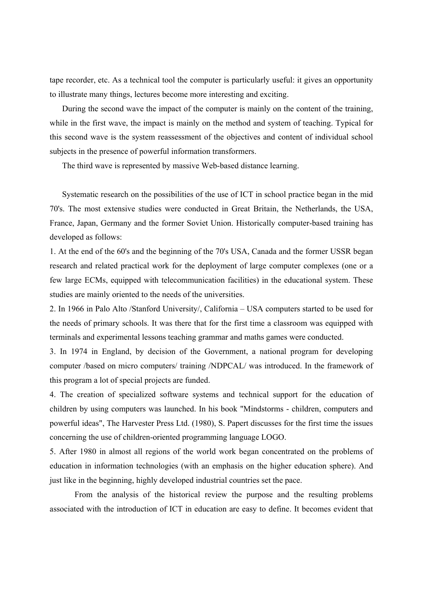tape recorder, etc. As a technical tool the computer is particularly useful: it gives an opportunity to illustrate many things, lectures become more interesting and exciting.

During the second wave the impact of the computer is mainly on the content of the training, while in the first wave, the impact is mainly on the method and system of teaching. Typical for this second wave is the system reassessment of the objectives and content of individual school subjects in the presence of powerful information transformers.

The third wave is represented by massive Web-based distance learning.

Systematic research on the possibilities of the use of ICT in school practice began in the mid 70's. The most extensive studies were conducted in Great Britain, the Netherlands, the USA, France, Japan, Germany and the former Soviet Union. Historically computer-based training has developed as follows:

1. At the end of the 60's and the beginning of the 70's USA, Canada and the former USSR began research and related practical work for the deployment of large computer complexes (one or a few large ECMs, equipped with telecommunication facilities) in the educational system. These studies are mainly oriented to the needs of the universities.

2. In 1966 in Palo Alto /Stanford University/, California – USA computers started to be used for the needs of primary schools. It was there that for the first time a classroom was equipped with terminals and experimental lessons teaching grammar and maths games were conducted.

3. In 1974 in England, by decision of the Government, a national program for developing computer /based on micro computers/ training /NDPCAL/ was introduced. In the framework of this program a lot of special projects are funded.

4. The creation of specialized software systems and technical support for the education of children by using computers was launched. In his book "Mindstorms - children, computers and powerful ideas", The Harvester Press Ltd. (1980), S. Papert discusses for the first time the issues concerning the use of children-oriented programming language LOGO.

5. After 1980 in almost all regions of the world work began concentrated on the problems of education in information technologies (with an emphasis on the higher education sphere). And just like in the beginning, highly developed industrial countries set the pace.

From the analysis of the historical review the purpose and the resulting problems associated with the introduction of ICT in education are easy to define. It becomes evident that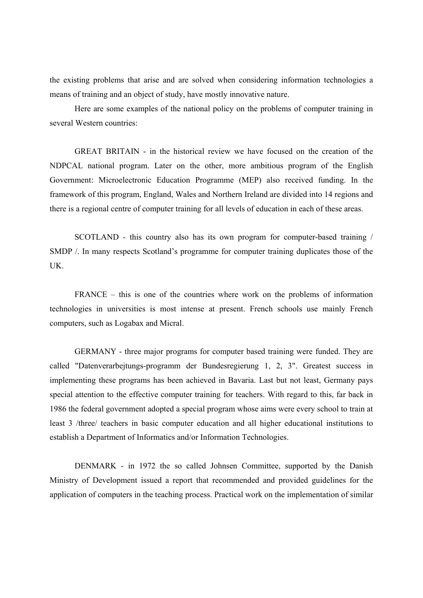the existing problems that arise and are solved when considering information technologies a means of training and an object of study, have mostly innovative nature.

Here are some examples of the national policy on the problems of computer training in several Western countries:

GREAT BRITAIN - in the historical review we have focused on the creation of the NDPCAL national program. Later on the other, more ambitious program of the English Government: Microelectronic Education Programme (MEP) also received funding. In the framework of this program, England, Wales and Northern Ireland are divided into 14 regions and there is a regional centre of computer training for all levels of education in each of these areas.

SCOTLAND - this country also has its own program for computer-based training / SMDP /. In many respects Scotland's programme for computer training duplicates those of the UK.

FRANCE – this is one of the countries where work on the problems of information technologies in universities is most intense at present. French schools use mainly French computers, such as Logabax and Micral.

GERMANY - three major programs for computer based training were funded. They are called "Datenverarbejtungs-programm der Bundesregierung 1, 2, 3". Greatest success in implementing these programs has been achieved in Bavaria. Last but not least, Germany pays special attention to the effective computer training for teachers. With regard to this, far back in 1986 the federal government adopted a special program whose aims were every school to train at least 3 /three/ teachers in basic computer education and all higher educational institutions to establish a Department of Informatics and/or Information Technologies.

DENMARK - in 1972 the so called Johnsen Committee, supported by the Danish Ministry of Development issued a report that recommended and provided guidelines for the application of computers in the teaching process. Practical work on the implementation of similar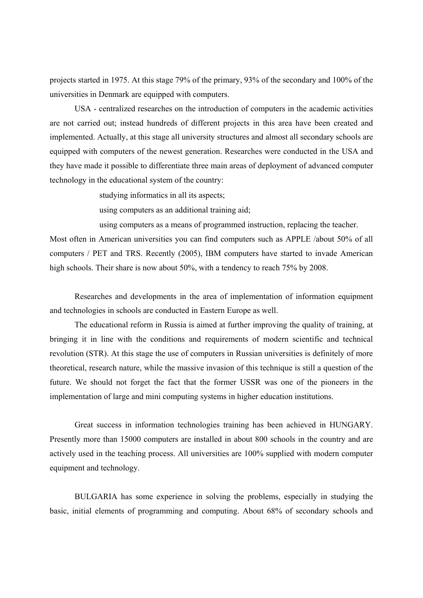projects started in 1975. At this stage 79% of the primary, 93% of the secondary and 100% of the universities in Denmark are equipped with computers.

USA - centralized researches on the introduction of computers in the academic activities are not carried out; instead hundreds of different projects in this area have been created and implemented. Actually, at this stage all university structures and almost all secondary schools are equipped with computers of the newest generation. Researches were conducted in the USA and they have made it possible to differentiate three main areas of deployment of advanced computer technology in the educational system of the country:

studying informatics in all its aspects;

using computers as an additional training aid;

using computers as a means of programmed instruction, replacing the teacher.

Most often in American universities you can find computers such as APPLE /about 50% of all computers / PET and TRS. Recently (2005), IBM computers have started to invade American high schools. Their share is now about 50%, with a tendency to reach 75% by 2008.

Researches and developments in the area of implementation of information equipment and technologies in schools are conducted in Eastern Europe as well.

The educational reform in Russia is aimed at further improving the quality of training, at bringing it in line with the conditions and requirements of modern scientific and technical revolution (STR). At this stage the use of computers in Russian universities is definitely of more theoretical, research nature, while the massive invasion of this technique is still a question of the future. We should not forget the fact that the former USSR was one of the pioneers in the implementation of large and mini computing systems in higher education institutions.

Great success in information technologies training has been achieved in HUNGARY. Presently more than 15000 computers are installed in about 800 schools in the country and are actively used in the teaching process. All universities are 100% supplied with modern computer equipment and technology.

BULGARIA has some experience in solving the problems, especially in studying the basic, initial elements of programming and computing. About 68% of secondary schools and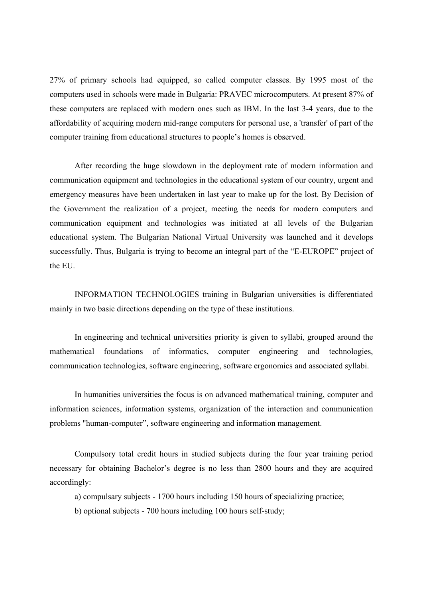27% of primary schools had equipped, so called computer classes. By 1995 most of the computers used in schools were made in Bulgaria: PRAVEC microcomputers. At present 87% of these computers are replaced with modern ones such as IBM. In the last 3-4 years, due to the affordability of acquiring modern mid-range computers for personal use, a 'transfer' of part of the computer training from educational structures to people's homes is observed.

After recording the huge slowdown in the deployment rate of modern information and communication equipment and technologies in the educational system of our country, urgent and emergency measures have been undertaken in last year to make up for the lost. By Decision of the Government the realization of a project, meeting the needs for modern computers and communication equipment and technologies was initiated at all levels of the Bulgarian educational system. The Bulgarian National Virtual University was launched and it develops successfully. Thus, Bulgaria is trying to become an integral part of the "E-EUROPE" project of the EU.

INFORMATION TECHNOLOGIES training in Bulgarian universities is differentiated mainly in two basic directions depending on the type of these institutions.

In engineering and technical universities priority is given to syllabi, grouped around the mathematical foundations of informatics, computer engineering and technologies, communication technologies, software engineering, software ergonomics and associated syllabi.

In humanities universities the focus is on advanced mathematical training, computer and information sciences, information systems, organization of the interaction and communication problems "human-computer", software engineering and information management.

Compulsory total credit hours in studied subjects during the four year training period necessary for obtaining Bachelor's degree is no less than 2800 hours and they are acquired accordingly:

a) compulsary subjects - 1700 hours including 150 hours of specializing practice;

b) optional subjects - 700 hours including 100 hours self-study;